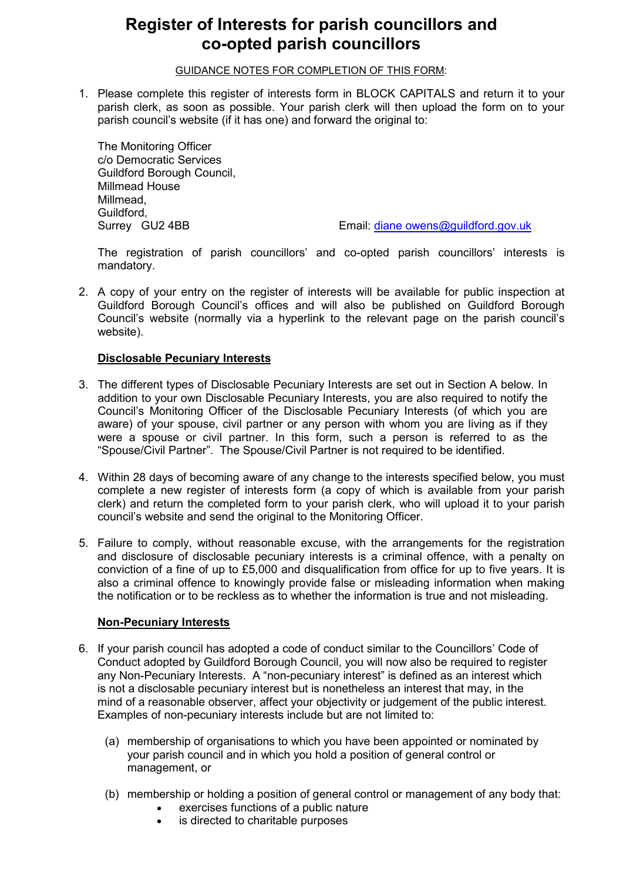# **Register of Interests for parish councillors and co-opted parish councillors**

GUIDANCE NOTES FOR COMPLETION OF THIS FORM:

1. Please complete this register of interests form in BLOCK CAPITALS and return it to your parish clerk, as soon as possible. Your parish clerk will then upload the form on to your parish council's website (if it has one) and forward the original to:

The Monitoring Officer c/o Democratic Services Guildford Borough Council, Millmead House Millmead, Guildford,

Surrey GU2 4BB Email: diane owens@guildford.gov.uk

The registration of parish councillors' and co-opted parish councillors' interests is mandatory.

2. A copy of your entry on the register of interests will be available for public inspection at Guildford Borough Council's offices and will also be published on Guildford Borough Council's website (normally via a hyperlink to the relevant page on the parish council's website).

#### **Disclosable Pecuniary Interests**

- 3. The different types of Disclosable Pecuniary Interests are set out in Section A below. In addition to your own Disclosable Pecuniary Interests, you are also required to notify the Council's Monitoring Officer of the Disclosable Pecuniary Interests (of which you are aware) of your spouse, civil partner or any person with whom you are living as if they were a spouse or civil partner. In this form, such a person is referred to as the "Spouse/Civil Partner". The Spouse/Civil Partner is not required to be identified.
- 4. Within 28 days of becoming aware of any change to the interests specified below, you must complete a new register of interests form (a copy of which is available from your parish clerk) and return the completed form to your parish clerk, who will upload it to your parish council's website and send the original to the Monitoring Officer.
- 5. Failure to comply, without reasonable excuse, with the arrangements for the registration and disclosure of disclosable pecuniary interests is a criminal offence, with a penalty on conviction of a fine of up to £5,000 and disqualification from office for up to five years. It is also a criminal offence to knowingly provide false or misleading information when making the notification or to be reckless as to whether the information is true and not misleading.

#### **Non-Pecuniary Interests**

- 6. If your parish council has adopted a code of conduct similar to the Councillors' Code of Conduct adopted by Guildford Borough Council, you will now also be required to register any Non-Pecuniary Interests. A "non-pecuniary interest" is defined as an interest which is not a disclosable pecuniary interest but is nonetheless an interest that may, in the mind of a reasonable observer, affect your objectivity or judgement of the public interest. Examples of non-pecuniary interests include but are not limited to:
	- (a) membership of organisations to which you have been appointed or nominated by your parish council and in which you hold a position of general control or management, or
	- (b) membership or holding a position of general control or management of any body that:
		- exercises functions of a public nature
		- is directed to charitable purposes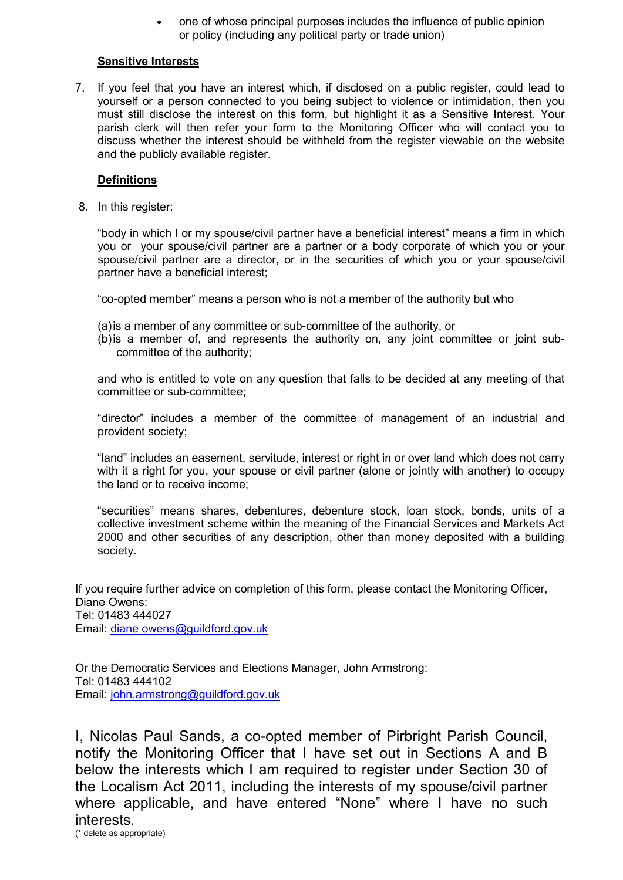• one of whose principal purposes includes the influence of public opinion or policy (including any political party or trade union)

#### **Sensitive Interests**

7. If you feel that you have an interest which, if disclosed on a public register, could lead to yourself or a person connected to you being subject to violence or intimidation, then you must still disclose the interest on this form, but highlight it as a Sensitive Interest. Your parish clerk will then refer your form to the Monitoring Officer who will contact you to discuss whether the interest should be withheld from the register viewable on the website and the publicly available register.

#### **Definitions**

8. In this register:

"body in which I or my spouse/civil partner have a beneficial interest" means a firm in which you or your spouse/civil partner are a partner or a body corporate of which you or your spouse/civil partner are a director, or in the securities of which you or your spouse/civil partner have a beneficial interest;

"co-opted member" means a person who is not a member of the authority but who

- (a)is a member of any committee or sub-committee of the authority, or
- (b)is a member of, and represents the authority on, any joint committee or joint subcommittee of the authority;

and who is entitled to vote on any question that falls to be decided at any meeting of that committee or sub-committee;

"director" includes a member of the committee of management of an industrial and provident society;

"land" includes an easement, servitude, interest or right in or over land which does not carry with it a right for you, your spouse or civil partner (alone or jointly with another) to occupy the land or to receive income;

"securities" means shares, debentures, debenture stock, loan stock, bonds, units of a collective investment scheme within the meaning of the Financial Services and Markets Act 2000 and other securities of any description, other than money deposited with a building society.

If you require further advice on completion of this form, please contact the Monitoring Officer, Diane Owens: Tel: 01483 444027 Email: diane owens@guildford.gov.uk

Or the Democratic Services and Elections Manager, John Armstrong: Tel: 01483 444102 Email: john.armstrong@guildford.gov.uk

I, Nicolas Paul Sands, a co-opted member of Pirbright Parish Council, notify the Monitoring Officer that I have set out in Sections A and B below the interests which I am required to register under Section 30 of the Localism Act 2011, including the interests of my spouse/civil partner where applicable, and have entered "None" where I have no such interests.<br>
(\* delete as appropriate)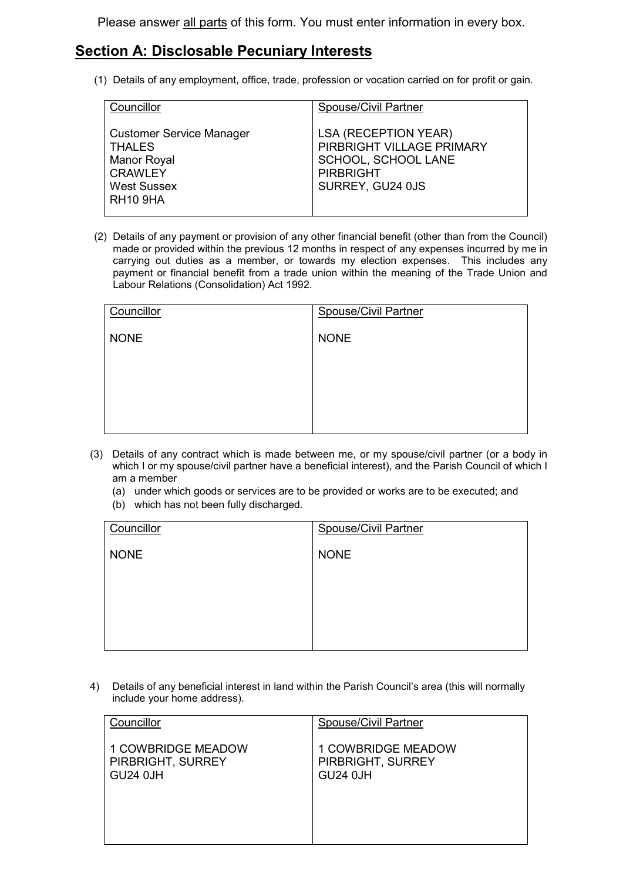Please answer all parts of this form. You must enter information in every box.

### **Section A: Disclosable Pecuniary Interests**

(1) Details of any employment, office, trade, profession or vocation carried on for profit or gain.

| Councillor                                                                                                                 | Spouse/Civil Partner                                                                                                    |
|----------------------------------------------------------------------------------------------------------------------------|-------------------------------------------------------------------------------------------------------------------------|
| <b>Customer Service Manager</b><br><b>THALES</b><br>Manor Royal<br><b>CRAWLEY</b><br><b>West Sussex</b><br><b>RH10 9HA</b> | <b>LSA (RECEPTION YEAR)</b><br>PIRBRIGHT VILLAGE PRIMARY<br>SCHOOL, SCHOOL LANE<br><b>PIRBRIGHT</b><br>SURREY, GU24 0JS |

(2) Details of any payment or provision of any other financial benefit (other than from the Council) made or provided within the previous 12 months in respect of any expenses incurred by me in carrying out duties as a member, or towards my election expenses. This includes any payment or financial benefit from a trade union within the meaning of the Trade Union and Labour Relations (Consolidation) Act 1992.

| Councillor  | <b>Spouse/Civil Partner</b> |
|-------------|-----------------------------|
| <b>NONE</b> | <b>NONE</b>                 |
|             |                             |
|             |                             |
|             |                             |
|             |                             |

- (3) Details of any contract which is made between me, or my spouse/civil partner (or a body in which I or my spouse/civil partner have a beneficial interest), and the Parish Council of which I am a member
	- (a) under which goods or services are to be provided or works are to be executed; and
	- (b) which has not been fully discharged.

| Councillor  | <b>Spouse/Civil Partner</b> |
|-------------|-----------------------------|
| <b>NONE</b> | <b>NONE</b>                 |
|             |                             |
|             |                             |
|             |                             |
|             |                             |

4) Details of any beneficial interest in land within the Parish Council's area (this will normally include your home address).

| Councillor         | <b>Spouse/Civil Partner</b> |
|--------------------|-----------------------------|
| 1 COWBRIDGE MEADOW | <b>1 COWBRIDGE MEADOW</b>   |
| PIRBRIGHT, SURREY  | PIRBRIGHT, SURREY           |
| <b>GU24 0JH</b>    | <b>GU24 0JH</b>             |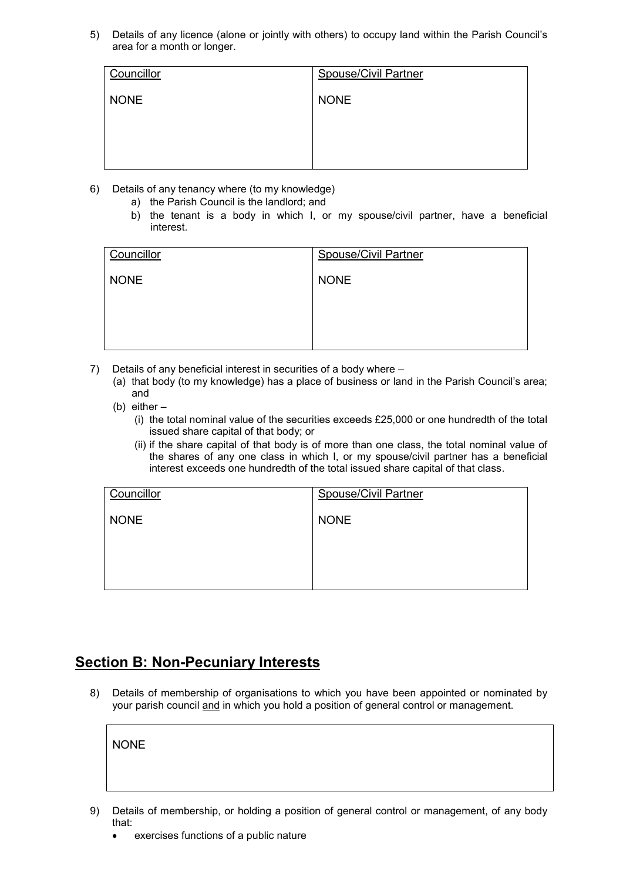5) Details of any licence (alone or jointly with others) to occupy land within the Parish Council's area for a month or longer.

| Councillor  | <b>Spouse/Civil Partner</b> |
|-------------|-----------------------------|
| <b>NONE</b> | <b>NONE</b>                 |
|             |                             |
|             |                             |
|             |                             |

- 6) Details of any tenancy where (to my knowledge)
	- a) the Parish Council is the landlord; and
	- b) the tenant is a body in which I, or my spouse/civil partner, have a beneficial interest.

| Councillor  | <b>Spouse/Civil Partner</b> |
|-------------|-----------------------------|
| <b>NONE</b> | <b>NONE</b>                 |
|             |                             |
|             |                             |
|             |                             |

- 7) Details of any beneficial interest in securities of a body where
	- (a) that body (to my knowledge) has a place of business or land in the Parish Council's area; and
	- (b) either
		- (i) the total nominal value of the securities exceeds £25,000 or one hundredth of the total issued share capital of that body; or
		- (ii) if the share capital of that body is of more than one class, the total nominal value of the shares of any one class in which I, or my spouse/civil partner has a beneficial interest exceeds one hundredth of the total issued share capital of that class.

| Councillor  | <b>Spouse/Civil Partner</b> |
|-------------|-----------------------------|
| <b>NONE</b> | <b>NONE</b>                 |
|             |                             |
|             |                             |
|             |                             |

### **Section B: Non-Pecuniary Interests**

8) Details of membership of organisations to which you have been appointed or nominated by your parish council and in which you hold a position of general control or management.

NONE

- 9) Details of membership, or holding a position of general control or management, of any body that:
	- exercises functions of a public nature